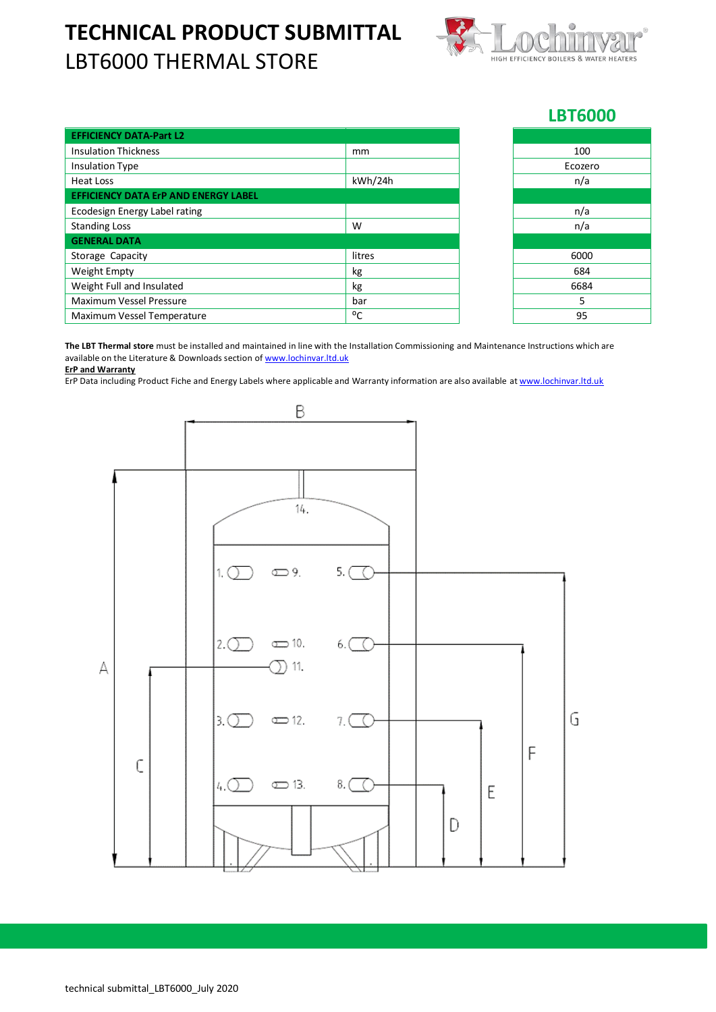## **TECHNICAL PRODUCT SUBMITTAL** LBT6000 THERMAL STORE



## **LBT6000**

| <b>EFFICIENCY DATA-Part L2</b>              |         |         |
|---------------------------------------------|---------|---------|
| <b>Insulation Thickness</b>                 | mm      | 100     |
| <b>Insulation Type</b>                      |         | Ecozero |
| Heat Loss                                   | kWh/24h | n/a     |
| <b>EFFICIENCY DATA ErP AND ENERGY LABEL</b> |         |         |
| Ecodesign Energy Label rating               |         | n/a     |
| <b>Standing Loss</b>                        | W       | n/a     |
| <b>GENERAL DATA</b>                         |         |         |
| Storage Capacity                            | litres  | 6000    |
| Weight Empty                                | kg      | 684     |
| Weight Full and Insulated                   | kg      | 6684    |
| <b>Maximum Vessel Pressure</b>              | bar     | 5       |
| Maximum Vessel Temperature                  | °C      | 95      |

**The LBT Thermal store** must be installed and maintained in line with the Installation Commissioning and Maintenance Instructions which are available on the Literature & Downloads section o[f www.lochinvar.ltd.uk](http://www.lochinvar.ltd.uk/)

## **ErP and Warranty**

ErP Data including Product Fiche and Energy Labels where applicable and Warranty information are also available at [www.lochinvar.ltd.uk](http://www.lochinvar.ltd.uk/)